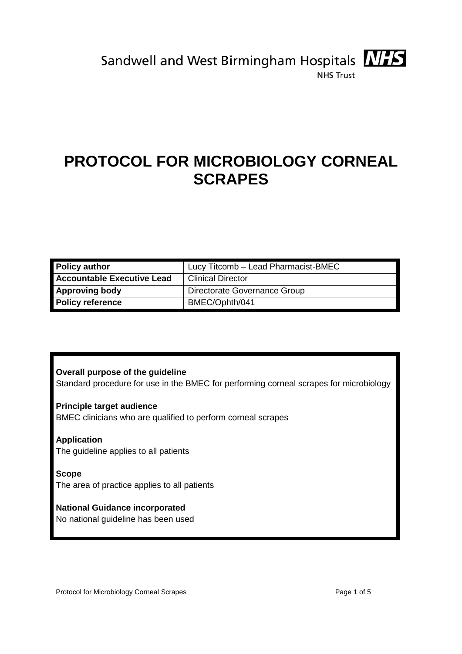



**NHS Trust** 

# **PROTOCOL FOR MICROBIOLOGY CORNEAL SCRAPES**

| <b>Policy author</b>              | Lucy Titcomb - Lead Pharmacist-BMEC |  |
|-----------------------------------|-------------------------------------|--|
| <b>Accountable Executive Lead</b> | <b>Clinical Director</b>            |  |
| <b>Approving body</b>             | Directorate Governance Group        |  |
| <b>Policy reference</b>           | BMEC/Ophth/041                      |  |

## **Overall purpose of the guideline**

Standard procedure for use in the BMEC for performing corneal scrapes for microbiology

## **Principle target audience**

BMEC clinicians who are qualified to perform corneal scrapes

## **Application**

The guideline applies to all patients

#### **Scope**

The area of practice applies to all patients

## **National Guidance incorporated**

No national guideline has been used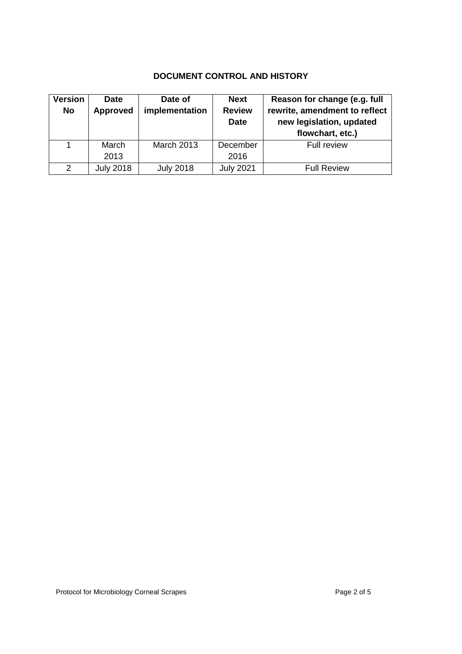# **DOCUMENT CONTROL AND HISTORY**

| <b>Version</b> | <b>Date</b>      | Date of           | <b>Next</b>      | Reason for change (e.g. full  |
|----------------|------------------|-------------------|------------------|-------------------------------|
| No             | <b>Approved</b>  | implementation    | <b>Review</b>    | rewrite, amendment to reflect |
|                |                  |                   | <b>Date</b>      | new legislation, updated      |
|                |                  |                   |                  | flowchart, etc.)              |
|                | March            | <b>March 2013</b> | December         | <b>Full review</b>            |
|                | 2013             |                   | 2016             |                               |
| 2              | <b>July 2018</b> | <b>July 2018</b>  | <b>July 2021</b> | <b>Full Review</b>            |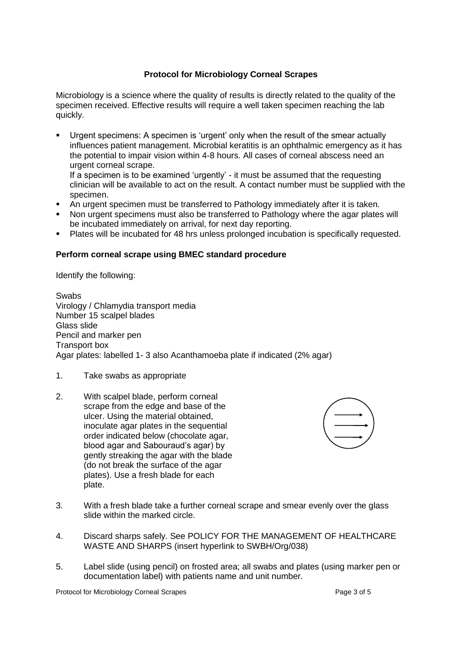## **Protocol for Microbiology Corneal Scrapes**

Microbiology is a science where the quality of results is directly related to the quality of the specimen received. Effective results will require a well taken specimen reaching the lab quickly.

- Urgent specimens: A specimen is 'urgent' only when the result of the smear actually influences patient management. Microbial keratitis is an ophthalmic emergency as it has the potential to impair vision within 4-8 hours. All cases of corneal abscess need an urgent corneal scrape. If a specimen is to be examined 'urgently' - it must be assumed that the requesting
	- clinician will be available to act on the result. A contact number must be supplied with the specimen.
- An urgent specimen must be transferred to Pathology immediately after it is taken.
- Non urgent specimens must also be transferred to Pathology where the agar plates will be incubated immediately on arrival, for next day reporting.
- Plates will be incubated for 48 hrs unless prolonged incubation is specifically requested.

### **Perform corneal scrape using BMEC standard procedure**

Identify the following:

Swabs Virology / Chlamydia transport media Number 15 scalpel blades Glass slide Pencil and marker pen Transport box Agar plates: labelled 1- 3 also Acanthamoeba plate if indicated (2% agar)

- 1. Take swabs as appropriate
- 2. With scalpel blade, perform corneal scrape from the edge and base of the ulcer. Using the material obtained, inoculate agar plates in the sequential order indicated below (chocolate agar, blood agar and Sabouraud's agar) by gently streaking the agar with the blade (do not break the surface of the agar plates). Use a fresh blade for each plate.



- 3. With a fresh blade take a further corneal scrape and smear evenly over the glass slide within the marked circle.
- 4. Discard sharps safely. See POLICY FOR THE MANAGEMENT OF HEALTHCARE WASTE AND SHARPS (insert hyperlink to SWBH/Org/038)
- 5. Label slide (using pencil) on frosted area; all swabs and plates (using marker pen or documentation label) with patients name and unit number.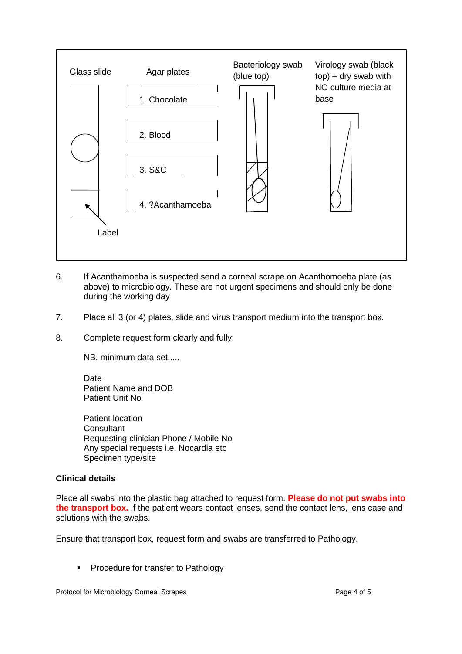

- 6. If Acanthamoeba is suspected send a corneal scrape on Acanthomoeba plate (as above) to microbiology. These are not urgent specimens and should only be done during the working day
- 7. Place all 3 (or 4) plates, slide and virus transport medium into the transport box.
- 8. Complete request form clearly and fully:

NB. minimum data set.....

Date Patient Name and DOB Patient Unit No

Patient location **Consultant** Requesting clinician Phone / Mobile No Any special requests i.e. Nocardia etc Specimen type/site

#### **Clinical details**

Place all swabs into the plastic bag attached to request form. **Please do not put swabs into the transport box.** If the patient wears contact lenses, send the contact lens, lens case and solutions with the swabs.

Ensure that transport box, request form and swabs are transferred to Pathology.

**Procedure for transfer to Pathology**